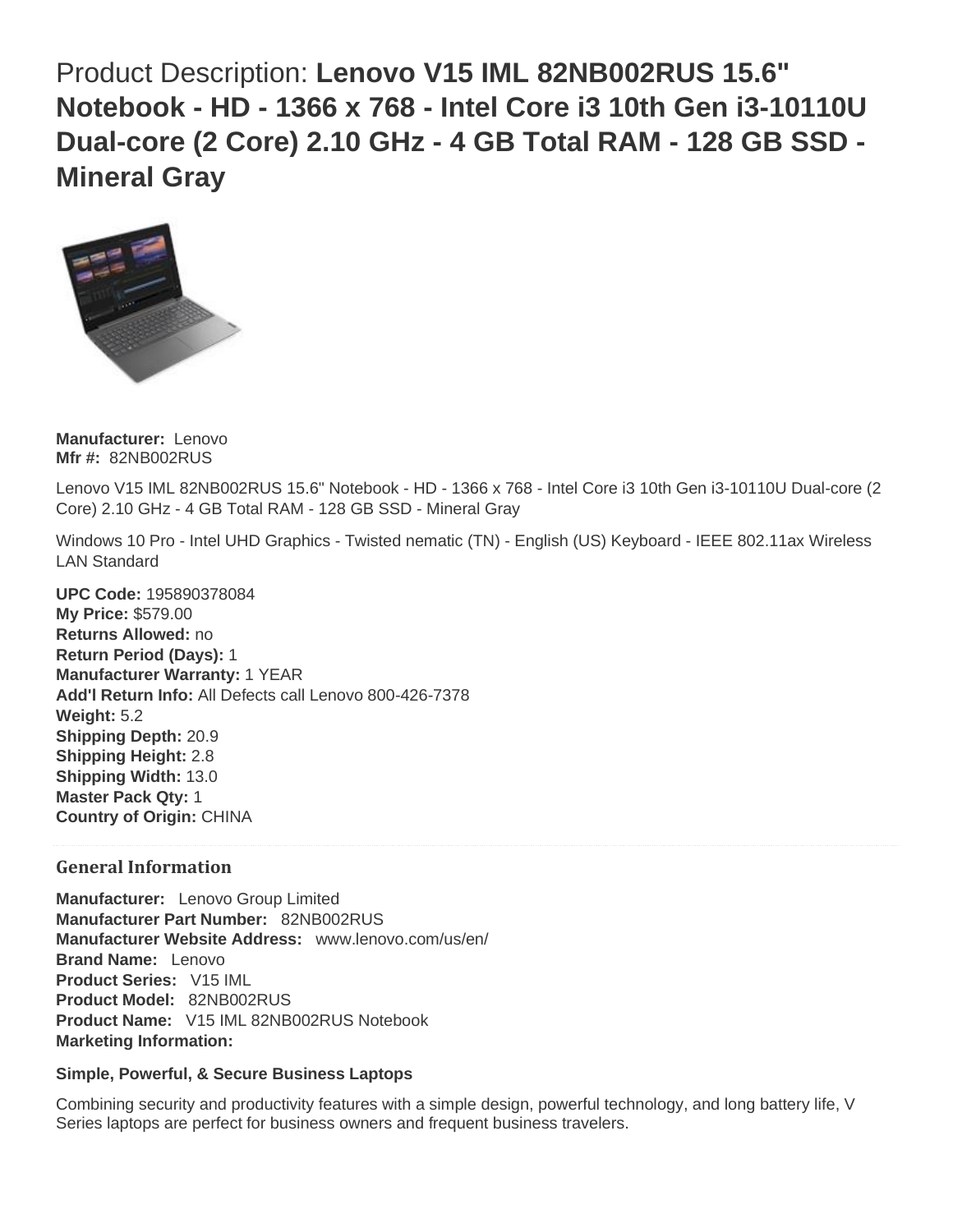Product Description: **Lenovo V15 IML 82NB002RUS 15.6" Notebook - HD - 1366 x 768 - Intel Core i3 10th Gen i3-10110U Dual-core (2 Core) 2.10 GHz - 4 GB Total RAM - 128 GB SSD - Mineral Gray**



**Manufacturer:** Lenovo **Mfr #:** 82NB002RUS

Lenovo V15 IML 82NB002RUS 15.6" Notebook - HD - 1366 x 768 - Intel Core i3 10th Gen i3-10110U Dual-core (2 Core) 2.10 GHz - 4 GB Total RAM - 128 GB SSD - Mineral Gray

Windows 10 Pro - Intel UHD Graphics - Twisted nematic (TN) - English (US) Keyboard - IEEE 802.11ax Wireless LAN Standard

**UPC Code:** 195890378084 **My Price:** \$579.00 **Returns Allowed:** no **Return Period (Days):** 1 **Manufacturer Warranty:** 1 YEAR **Add'l Return Info:** All Defects call Lenovo 800-426-7378 **Weight:** 5.2 **Shipping Depth:** 20.9 **Shipping Height:** 2.8 **Shipping Width:** 13.0 **Master Pack Qty:** 1 **Country of Origin:** CHINA

# **General Information**

**Manufacturer:** Lenovo Group Limited **Manufacturer Part Number:** 82NB002RUS **Manufacturer Website Address:** www.lenovo.com/us/en/ **Brand Name:** Lenovo **Product Series:** V15 IML **Product Model:** 82NB002RUS **Product Name:** V15 IML 82NB002RUS Notebook **Marketing Information:**

#### **Simple, Powerful, & Secure Business Laptops**

Combining security and productivity features with a simple design, powerful technology, and long battery life, V Series laptops are perfect for business owners and frequent business travelers.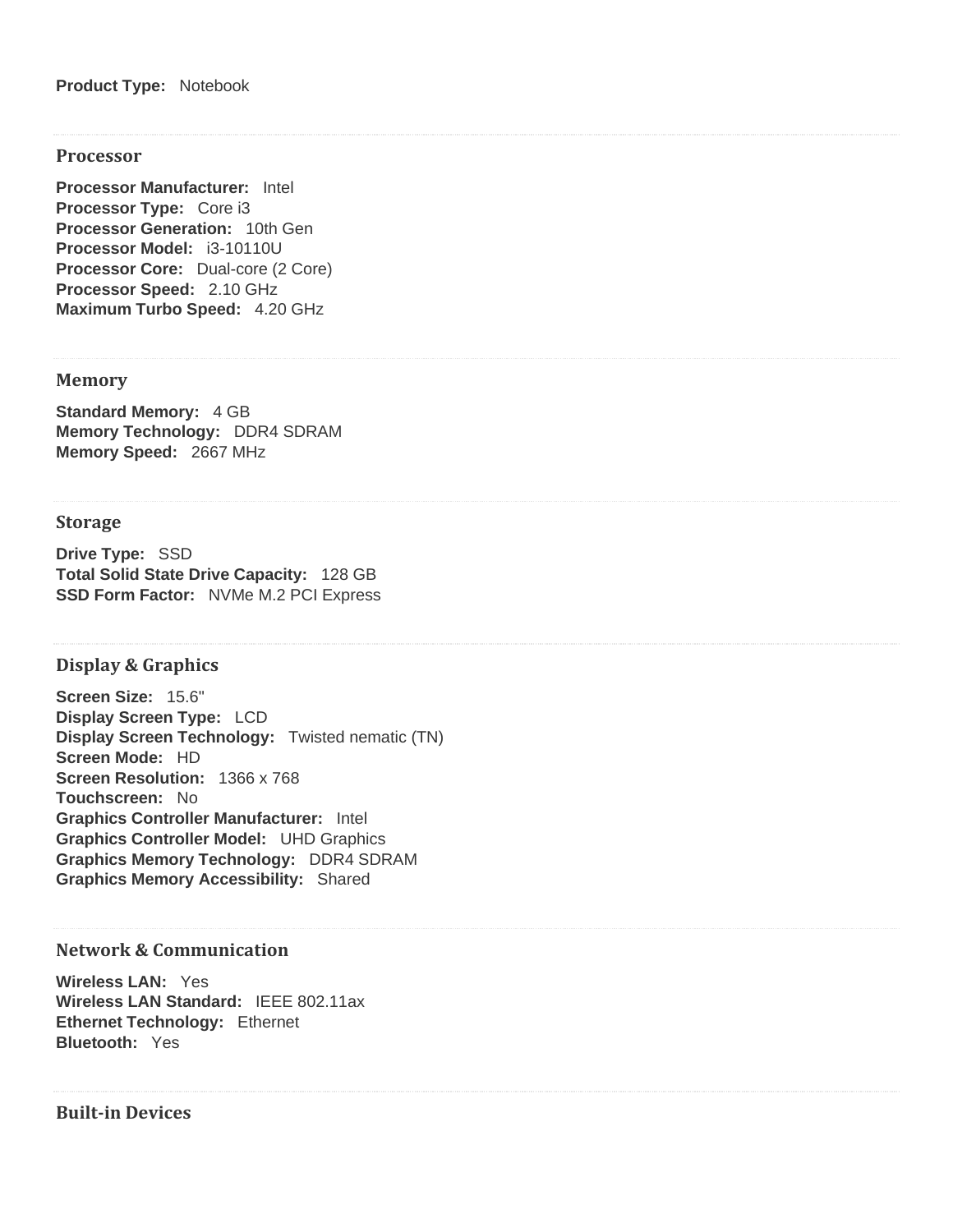#### **Processor**

**Processor Manufacturer:** Intel **Processor Type:** Core i3 **Processor Generation:** 10th Gen **Processor Model:** i3-10110U **Processor Core:** Dual-core (2 Core) **Processor Speed:** 2.10 GHz **Maximum Turbo Speed:** 4.20 GHz

## **Memory**

**Standard Memory:** 4 GB **Memory Technology:** DDR4 SDRAM **Memory Speed:** 2667 MHz

## **Storage**

**Drive Type:** SSD **Total Solid State Drive Capacity:** 128 GB **SSD Form Factor:** NVMe M.2 PCI Express

#### **Display & Graphics**

**Screen Size:** 15.6" **Display Screen Type:** LCD **Display Screen Technology:** Twisted nematic (TN) **Screen Mode:** HD **Screen Resolution:** 1366 x 768 **Touchscreen:** No **Graphics Controller Manufacturer:** Intel **Graphics Controller Model:** UHD Graphics **Graphics Memory Technology:** DDR4 SDRAM **Graphics Memory Accessibility:** Shared

# **Network & Communication**

**Wireless LAN:** Yes **Wireless LAN Standard:** IEEE 802.11ax **Ethernet Technology:** Ethernet **Bluetooth:** Yes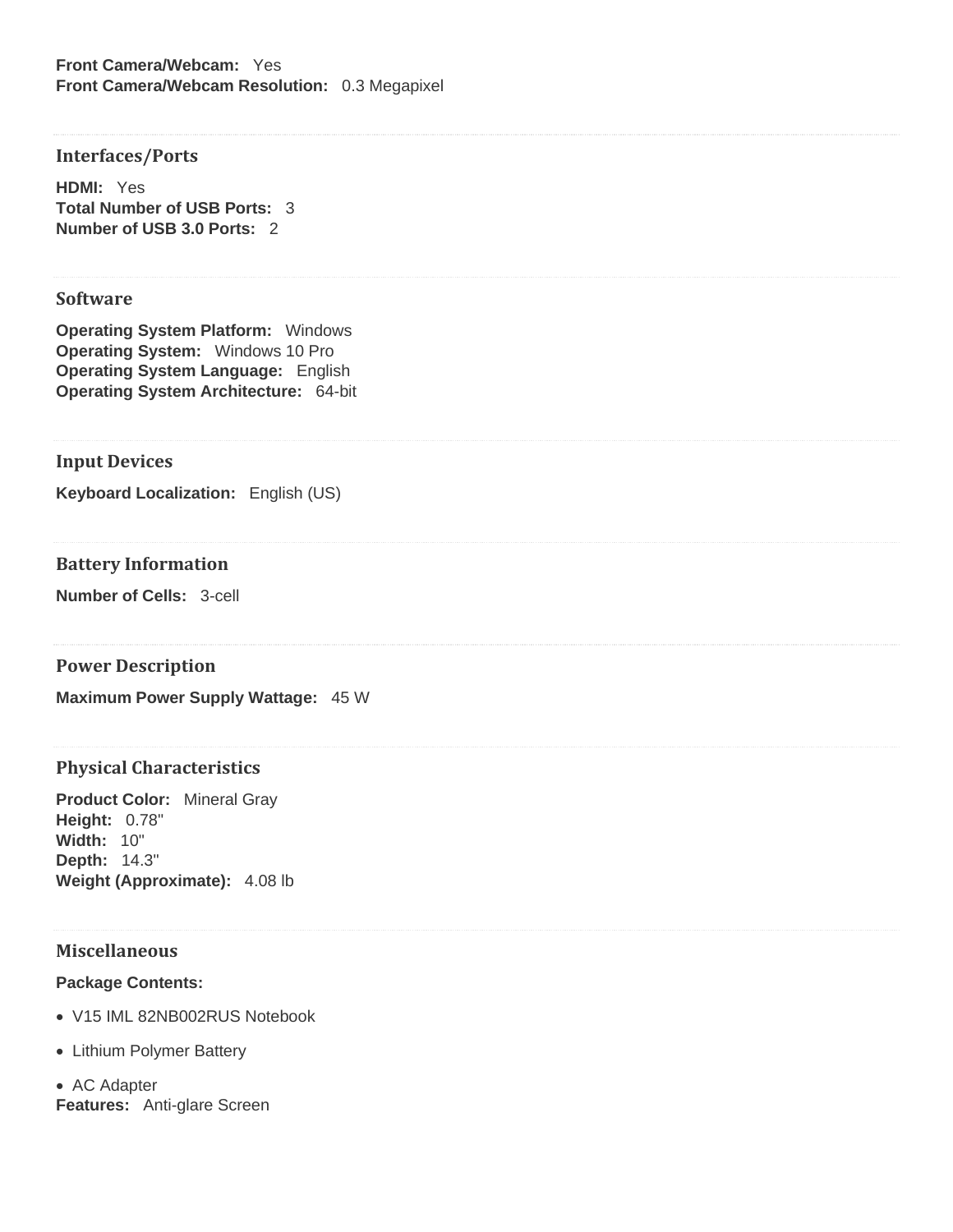**Front Camera/Webcam:** Yes **Front Camera/Webcam Resolution:** 0.3 Megapixel

## **Interfaces/Ports**

**HDMI:** Yes **Total Number of USB Ports:** 3 **Number of USB 3.0 Ports:** 2

#### **Software**

**Operating System Platform:** Windows **Operating System:** Windows 10 Pro **Operating System Language:** English **Operating System Architecture:** 64-bit

## **Input Devices**

**Keyboard Localization:** English (US)

# **Battery Information**

**Number of Cells:** 3-cell

#### **Power Description**

**Maximum Power Supply Wattage:** 45 W

#### **Physical Characteristics**

**Product Color:** Mineral Gray **Height:** 0.78" **Width:** 10" **Depth:** 14.3" **Weight (Approximate):** 4.08 lb

## **Miscellaneous**

#### **Package Contents:**

- V15 IML 82NB002RUS Notebook
- Lithium Polymer Battery
- AC Adapter **Features:** Anti-glare Screen